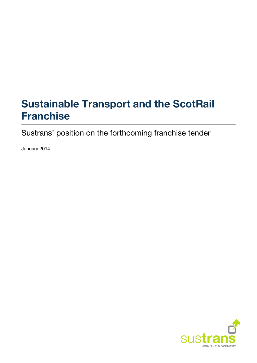# **Sustainable Transport and the ScotRail Franchise**

Sustrans' position on the forthcoming franchise tender

January 2014

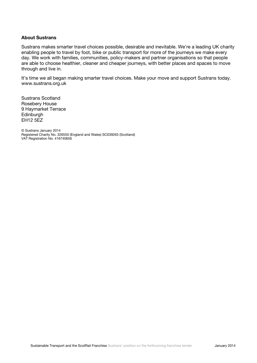#### **About Sustrans**

Sustrans makes smarter travel choices possible, desirable and inevitable. We're a leading UK charity enabling people to travel by foot, bike or public transport for more of the journeys we make every day. We work with families, communities, policy-makers and partner organisations so that people are able to choose healthier, cleaner and cheaper journeys, with better places and spaces to move through and live in.

It's time we all began making smarter travel choices. Make your move and support Sustrans today. [www.sustrans.org.uk](http://www.sustrans.org.uk/)

Sustrans Scotland Rosebery House 9 Haymarket Terrace **Edinburgh** EH12 5EZ

© Sustrans January 2014 Registered Charity No. 326550 (England and Wales) SC039263 (Scotland) VAT Registration No. 416740656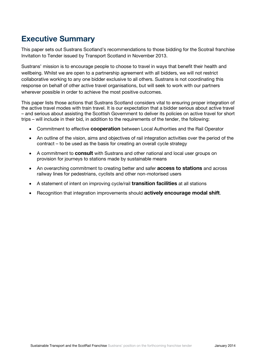## **Executive Summary**

This paper sets out Sustrans Scotland's recommendations to those bidding for the Scotrail franchise Invitation to Tender issued by Transport Scotland in November 2013.

Sustrans' mission is to encourage people to choose to travel in ways that benefit their health and wellbeing. Whilst we are open to a partnership agreement with all bidders, we will not restrict collaborative working to any one bidder exclusive to all others. Sustrans is not coordinating this response on behalf of other active travel organisations, but will seek to work with our partners wherever possible in order to achieve the most positive outcomes.

This paper lists those actions that Sustrans Scotland considers vital to ensuring proper integration of the active travel modes with train travel. It is our expectation that a bidder serious about active travel – and serious about assisting the Scottish Government to deliver its policies on active travel for short trips – will include in their bid, in addition to the requirements of the tender, the following:

- Commitment to effective **cooperation** between Local Authorities and the Rail Operator
- An outline of the vision, aims and objectives of rail integration activities over the period of the contract – to be used as the basis for creating an overall cycle strategy
- A commitment to **consult** with Sustrans and other national and local user groups on provision for journeys to stations made by sustainable means
- An overarching commitment to creating better and safer **access to stations** and across railway lines for pedestrians, cyclists and other non-motorised users
- A statement of intent on improving cycle/rail **transition facilities** at all stations
- Recognition that integration improvements should **actively encourage modal shift**.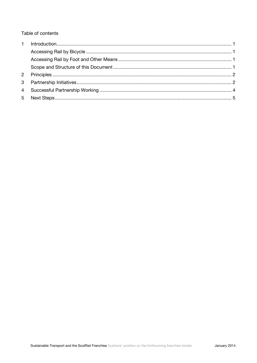Table of contents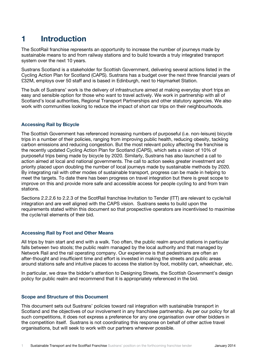## <span id="page-4-0"></span>**1 Introduction**

The ScotRail franchise represents an opportunity to increase the number of journeys made by sustainable means to and from railway stations and to build towards a truly integrated transport system over the next 10 years.

Sustrans Scotland is a stakeholder for Scottish Government, delivering several actions listed in the Cycling Action Plan for Scotland (CAPS). Sustrans has a budget over the next three financial years of £32M, employs over 50 staff and is based in Edinburgh, next to Haymarket Station.

The bulk of Sustrans' work is the delivery of infrastructure aimed at making everyday short trips an easy and sensible option for those who want to travel actively. We work in partnership with all of Scotland's local authorities, Regional Transport Partnerships and other statutory agencies. We also work with communities looking to reduce the impact of short car trips on their neighbourhoods.

#### <span id="page-4-1"></span>**Accessing Rail by Bicycle**

The Scottish Government has referenced increasing numbers of purposeful (i.e. non-leisure) bicycle trips in a number of their policies, ranging from improving public health, reducing obesity, tackling carbon emissions and reducing congestion. But the most relevant policy affecting the franchise is the recently updated Cycling Action Plan for Scotland (CAPS), which sets a vision of 10% of purposeful trips being made by bicycle by 2020. Similarly, Sustrans has also launched a call to action aimed at local and national governments. The call to action seeks greater investment and priority placed upon doubling the number of local journeys made by sustainable methods by 2020. By integrating rail with other modes of sustainable transport, progress can be made in helping to meet the targets. To date there has been progress on travel integration but there is great scope to improve on this and provide more safe and accessible access for people cycling to and from train stations.

Sections 2.2.2.6 to 2.2.3 of the ScotRail franchise Invitation to Tender (ITT) are relevant to cycle/rail integration and are well aligned with the CAPS vision. Sustrans seeks to build upon the requirements stated within this document so that prospective operators are incentivised to maximise the cycle/rail elements of their bid.

#### <span id="page-4-2"></span>**Accessing Rail by Foot and Other Means**

All trips by train start and end with a walk. Too often, the public realm around stations in particular falls between two stools; the public realm managed by the local authority and that managed by Network Rail and the rail operating company. Our experience is that pedestrians are often an after-thought and insufficient time and effort is invested in making the streets and public areas around stations safe and intuitive places to access the station by foot, mobility cart, wheelchair, etc.

In particular, we draw the bidder's attention to Designing Streets, the Scottish Government's design policy for public realm and recommend that it is appropriately referenced in the bid.

#### <span id="page-4-3"></span>**Scope and Structure of this Document**

This document sets out Sustrans' policies toward rail integration with sustainable transport in Scotland and the objectives of our involvement in any franchisee partnership. As per our policy for all such competitions, it does not express a preference for any one organisation over other bidders in the competition itself. Sustrans is not coordinating this response on behalf of other active travel organisations, but will seek to work with our partners wherever possible.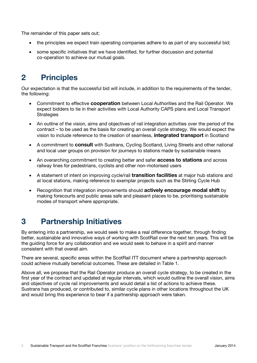The remainder of this paper sets out;

- the principles we expect train operating companies adhere to as part of any successful bid;
- some specific initiatives that we have identified, for further discussion and potential co-operation to achieve our mutual goals.

## <span id="page-5-0"></span>**2 Principles**

Our expectation is that the successful bid will include, in addition to the requirements of the tender, the following:

- Commitment to effective **cooperation** between Local Authorities and the Rail Operator. We expect bidders to tie in their activities with Local Authority CAPS plans and Local Transport **Strategies**
- An outline of the vision, aims and objectives of rail integration activities over the period of the contract – to be used as the basis for creating an overall cycle strategy. We would expect the vision to include reference to the creation of seamless, **integrated transport** in Scotland
- A commitment to **consult** with Sustrans, Cycling Scotland, Living Streets and other national and local user groups on provision for journeys to stations made by sustainable means
- An overarching commitment to creating better and safer **access to stations** and across railway lines for pedestrians, cyclists and other non-motorised users
- A statement of intent on improving cycle/rail **transition facilities** at major hub stations and at local stations, making reference to exemplar projects such as the Stirling Cycle Hub
- Recognition that integration improvements should **actively encourage modal shift** by making forecourts and public areas safe and pleasant places to be, prioritising sustainable modes of transport where appropriate.

### <span id="page-5-1"></span>**3 Partnership Initiatives**

By entering into a partnership, we would seek to make a real difference together, through finding better, sustainable and innovative ways of working with ScotRail over the next ten years. This will be the guiding force for any collaboration and we would seek to behave in a spirit and manner consistent with that overall aim.

There are several, specific areas within the ScotRail ITT document where a partnership approach could achieve mutually beneficial outcomes. These are detailed in Table 1.

Above all, we propose that the Rail Operator produce an overall cycle strategy, to be created in the first year of the contract and updated at regular intervals, which would outline the overall vision, aims and objectives of cycle rail improvements and would detail a list of actions to achieve these. Sustrans has produced, or contributed to, similar cycle plans in other locations throughout the UK and would bring this experience to bear if a partnership approach were taken.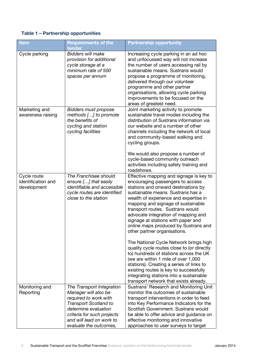### **Table 1 – Partnership opportunities**

| <b>Item</b>                                      | <b>Requirements of the</b><br>tender                                                                                                                                                                                   | <b>Partnership opportunity</b>                                                                                                                                                                                                                                                                                                                                                                                                                                                                                                                                                                                                                                                                                                                                                      |
|--------------------------------------------------|------------------------------------------------------------------------------------------------------------------------------------------------------------------------------------------------------------------------|-------------------------------------------------------------------------------------------------------------------------------------------------------------------------------------------------------------------------------------------------------------------------------------------------------------------------------------------------------------------------------------------------------------------------------------------------------------------------------------------------------------------------------------------------------------------------------------------------------------------------------------------------------------------------------------------------------------------------------------------------------------------------------------|
| Cycle parking                                    | <b>Bidders will make</b><br>provision for additional<br>cycle storage at a<br>minimum rate of 500<br>spaces per annum                                                                                                  | Increasing cycle parking in an ad hoc<br>and unfocussed way will not increase<br>the number of users accessing rail by<br>sustainable means. Sustrans would<br>propose a programme of monitoring,<br>delivered through our volunteer<br>programme and other partner<br>organisations, allowing cycle parking<br>improvements to be focused on the<br>areas of greatest need.                                                                                                                                                                                                                                                                                                                                                                                                        |
| Marketing and<br>awareness raising               | <b>Bidders must propose</b><br>methods [] to promote<br>the benefits of<br>cycling and station<br>cycling facilities                                                                                                   | Joint marketing activity to promote<br>sustainable travel modes including the<br>distribution of Sustrans information via<br>our website and a number of other<br>channels including the network of local<br>and community-based walking and<br>cycling groups.<br>We would also propose a number of                                                                                                                                                                                                                                                                                                                                                                                                                                                                                |
|                                                  |                                                                                                                                                                                                                        | cycle-based community outreach<br>activities including safety training and<br>roadshows.                                                                                                                                                                                                                                                                                                                                                                                                                                                                                                                                                                                                                                                                                            |
| Cycle route<br>identification and<br>development | The Franchisee should<br>ensure [] that easily<br><i>identifiable and accessible</i><br>cycle routes are identified<br>close to the station                                                                            | Effective mapping and signage is key to<br>encouraging passengers to access<br>stations and onward destinations by<br>sustainable means. Sustrans has a<br>wealth of experience and expertise in<br>mapping and signage of sustainable<br>transport routes. Sustrans would<br>advocate integration of mapping and<br>signage at stations with paper and<br>online maps produced by Sustrans and<br>other partner organisations.<br>The National Cycle Network brings high<br>quality cycle routes close to (or directly<br>to) hundreds of stations across the UK<br>(we are within 1 mile of over 1,000<br>stations). Creating a series of links to<br>existing routes is key to successfully<br>integrating stations into a sustainable<br>transport network that exists already. |
| Monitoring and<br>Reporting                      | The Transport Integration<br>Manager will also be<br>required to work with<br><b>Transport Scotland to</b><br>determine evaluation<br>criteria for such projects<br>and will lead on work to<br>evaluate the outcomes, | Sustrans' Research and Monitoring Unit<br>monitor the outcomes of sustainable<br>transport interventions in order to feed<br>into Key Performance Indicators for the<br>Scottish Government. Sustrans would<br>be able to offer advice and guidance on<br>effective monitoring and innovative<br>approaches to user surveys to target                                                                                                                                                                                                                                                                                                                                                                                                                                               |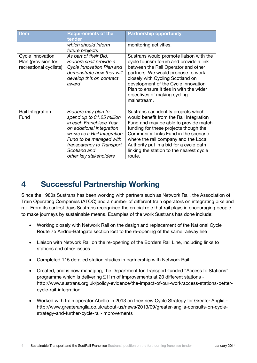| <b>Item</b>                                                       | <b>Requirements of the</b><br>tender                                                                                                                                                                                                      | <b>Partnership opportunity</b>                                                                                                                                                                                                                                                                                                                     |
|-------------------------------------------------------------------|-------------------------------------------------------------------------------------------------------------------------------------------------------------------------------------------------------------------------------------------|----------------------------------------------------------------------------------------------------------------------------------------------------------------------------------------------------------------------------------------------------------------------------------------------------------------------------------------------------|
|                                                                   | which should inform<br>future projects                                                                                                                                                                                                    | monitoring activities.                                                                                                                                                                                                                                                                                                                             |
| Cycle Innovation<br>Plan (provision for<br>recreational cyclists) | As part of their Bid,<br>Bidders shall provide a<br>Cycle Innovation Plan and<br>demonstrate how they will<br>develop this on contract<br>award                                                                                           | Sustrans would promote liaison with the<br>cycle tourism forum and provide a link<br>between the Rail Operator and other<br>partners. We would propose to work<br>closely with Cycling Scotland on<br>development of the Cycle Innovation<br>Plan to ensure it ties in with the wider<br>objectives of making cycling<br>mainstream.               |
| Rail Integration<br>Fund                                          | Bidders may plan to<br>spend up to £1.25 million<br>in each Franchisee Year<br>on additional integration<br>works as a Rail Integration<br>Fund to be managed with<br>transparency to Transport<br>Scotland and<br>other key stakeholders | Sustrans can identify projects which<br>would benefit from the Rail Integration<br>Fund and may be able to provide match<br>funding for these projects though the<br>Community Links Fund in the scenario<br>where the rail company and the Local<br>Authority put in a bid for a cycle path<br>linking the station to the nearest cycle<br>route. |

### <span id="page-7-0"></span>**4 Successful Partnership Working**

Since the 1980s Sustrans has been working with partners such as Network Rail, the Association of Train Operating Companies (ATOC) and a number of different train operators on integrating bike and rail. From its earliest days Sustrans recognised the crucial role that rail plays in encouraging people to make journeys by sustainable means. Examples of the work Sustrans has done include:

- Working closely with Network Rail on the design and replacement of the National Cycle Route 75 Airdrie-Bathgate section lost to the re-opening of the same railway line
- Liaison with Network Rail on the re-opening of the Borders Rail Line, including links to stations and other issues
- Completed 115 detailed station studies in partnership with Network Rail
- Created, and is now managing, the Department for Transport-funded "Access to Stations" programme which is delivering £11m of improvements at 20 different stations http://www.sustrans.org.uk/policy-evidence/the-impact-of-our-work/access-stations-bettercycle-rail-integration
- Worked with train operator Abellio in 2013 on their new Cycle Strategy for Greater Anglia http://www.greateranglia.co.uk/about-us/news/2013/09/greater-anglia-consults-on-cyclestrategy-and-further-cycle-rail-improvements